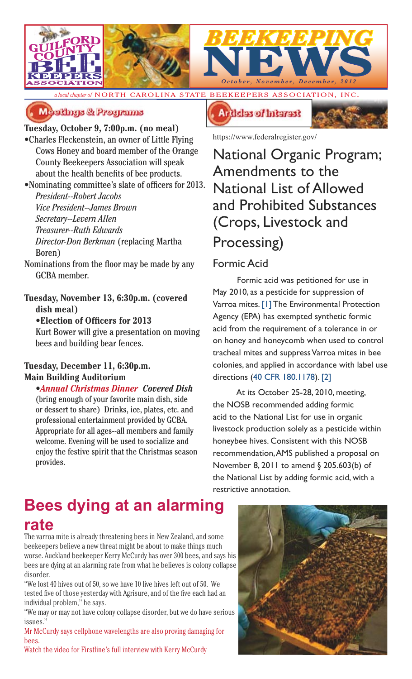

*a local chapter of* NORTH CAROLINA STATE BEEKEEPERS ASSOCIATION, INC.



### Meetings & Programs

### **Tuesday, October 9, 7:00p.m. (no meal)**

•Charles Fleckenstein, an owner of Little Flying Cows Honey and board member of the Orange County Beekeepers Association will speak about the health benefits of bee products.

•Nominating committee's slate of officers for 2013. *President--Robert Jacobs Vice President--James Brown Secretary--Levern Allen Treasurer--Ruth Edwards Director-Don Berkman* (replacing Martha Boren)

Nominations from the floor may be made by any GCBA member.

### **Tuesday, November 13, 6:30p.m. (covered dish meal)**

#### •**Election of Officers for 2013**

Kurt Bower will give a presentation on moving bees and building bear fences.

### **Tuesday, December 11, 6:30p.m. Main Building Auditorium**

*•Annual Christmas Dinner Covered Dish* (bring enough of your favorite main dish, side or dessert to share) Drinks, ice, plates, etc. and professional entertainment provided by GCBA. Appropriate for all ages--all members and family welcome. Evening will be used to socialize and enjoy the festive spirit that the Christmas season provides.

## **Bees dying at an alarming rate**

The varroa mite is already threatening bees in New Zealand, and some beekeepers believe a new threat might be about to make things much worse. Auckland beekeeper Kerry McCurdy has over 300 bees, and says his bees are dying at an alarming rate from what he believes is colony collapse disorder.

"We lost 40 hives out of 50, so we have 10 live hives left out of 50. We tested five of those yesterday with Agrisure, and of the five each had an individual problem," he says.

"We may or may not have colony collapse disorder, but we do have serious issues."

Mr McCurdy says cellphone wavelengths are also proving damaging for bees.

Watch the video for Firstline's full interview with Kerry McCurdy



https://www.federalregister.gov/

National Organic Program; Amendments to the National List of Allowed and Prohibited Substances (Crops, Livestock and Processing)

### Formic Acid

Formic acid was petitioned for use in May 2010, as a pesticide for suppression of Varroa mites. [1] The Environmental Protection Agency (EPA) has exempted synthetic formic acid from the requirement of a tolerance in or on honey and honeycomb when used to control tracheal mites and suppress Varroa mites in bee colonies, and applied in accordance with label use directions (40 CFR 180.1178). [2]

At its October 25-28, 2010, meeting, the NOSB recommended adding formic acid to the National List for use in organic livestock production solely as a pesticide within honeybee hives. Consistent with this NOSB recommendation, AMS published a proposal on November 8, 2011 to amend § 205.603(b) of the National List by adding formic acid, with a restrictive annotation.

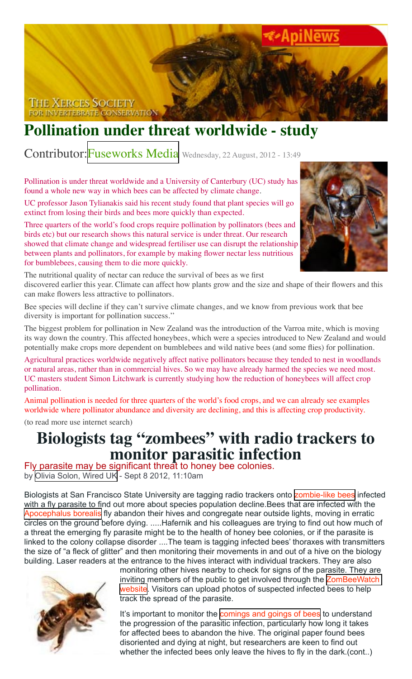

## **Pollination under threat worldwide - study**

Contributor:[Fuseworks Media](http://www.voxy.co.nz/users/fuseworks-media) Wednesday, 22 August, 2012 - 13:49

Pollination is under threat worldwide and a University of Canterbury (UC) study has found a whole new way in which bees can be affected by climate change.

UC professor Jason Tylianakis said his recent study found that plant species will go extinct from losing their birds and bees more quickly than expected.

Three quarters of the world's food crops require pollination by pollinators (bees and birds etc) but our research shows this natural service is under threat. Our research showed that climate change and widespread fertiliser use can disrupt the relationship between plants and pollinators, for example by making flower nectar less nutritious for bumblebees, causing them to die more quickly.



The nutritional quality of nectar can reduce the survival of bees as we first discovered earlier this year. Climate can affect how plants grow and the size and shape of their flowers and this can make flowers less attractive to pollinators.

Bee species will decline if they can't survive climate changes, and we know from previous work that bee diversity is important for pollination success.''

The biggest problem for pollination in New Zealand was the introduction of the Varroa mite, which is moving its way down the country. This affected honeybees, which were a species introduced to New Zealand and would potentially make crops more dependent on bumblebees and wild native bees (and some flies) for pollination.

Agricultural practices worldwide negatively affect native pollinators because they tended to nest in woodlands or natural areas, rather than in commercial hives. So we may have already harmed the species we need most. UC masters student Simon Litchwark is currently studying how the reduction of honeybees will affect crop pollination.

Animal pollination is needed for three quarters of the world's food crops, and we can already see examples worldwide where pollinator abundance and diversity are declining, and this is affecting crop productivity.

(to read more use internet search)

# **Biologists tag "zombees" with radio trackers to monitor parasitic infection**<br>Fly parasite may be significant threat to honey bee colonies.

by [Olivia Solon, Wired UK](http://arstechnica.com/author/wired-co-uk/) - Sept 8 2012, 11:10am

Biologists at San Francisco State University are tagging radio trackers onto [zombie-like bees](http://www.innovations-report.com/html/reports/life_sciences/sf_state_biologists_tag_039_zombees_039_track_flight_201816.html) infected with a fly parasite to find out more about species population decline. Bees that are infected with the [Apocephalus borealis](http://en.wikipedia.org/wiki/Apocephalus_borealis) fly abandon their hives and congregate near outside lights, moving in erratic circles on the ground before dying. .....Hafernik and his colleagues are trying to find out how much of a threat the emerging fly parasite might be to the health of honey bee colonies, or if the parasite is linked to the colony collapse disorder ....The team is tagging infected bees' thoraxes with transmitters the size of "a fleck of glitter" and then monitoring their movements in and out of a hive on the biology building. Laser readers at the entrance to the hives interact with individual trackers. They are also



monitoring other hives nearby to check for signs of the parasite. They are inviting members of the public to get involved through the [ZomBeeWatch](https://www.zombeewatch.org/)  [website.](https://www.zombeewatch.org/) Visitors can upload photos of suspected infected bees to help track the spread of the parasite.

It's important to monitor the [comings and goings of bees](http://www.wired.co.uk/news/archive/2012-05/16/tweeting-bees) to understand the progression of the parasitic infection, particularly how long it takes for affected bees to abandon the hive. The original paper found bees disoriented and dying at night, but researchers are keen to find out whether the infected bees only leave the hives to fly in the dark.(cont..)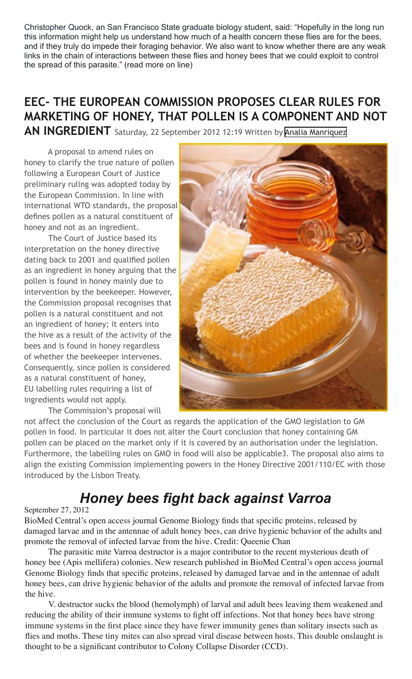Christopher Quock, an San Francisco State graduate biology student, said: "Hopefully in the long run this information might help us understand how much of a health concern these flies are for the bees, and if they truly do impede their foraging behavior. We also want to know whether there are any weak links in the chain of interactions between these flies and honey bees that we could exploit to control the spread of this parasite." (read more on line)

### **EEC- THE EUROPEAN COMMISSION PROPOSES CLEAR RULES FOR MARKETING OF HONEY, THAT POLLEN IS A COMPONENT AND NOT**

**AN INGREDIENT** Saturday, 22 September 2012 12:19 Written by [Analia Manriquez](http://www.apinews.com/en/news/itemlist/user/64-analiamanriquez)

A proposal to amend rules on honey to clarify the true nature of pollen following a European Court of Justice preliminary ruling was adopted today by the European Commission. In line with international WTO standards, the proposal defines pollen as a natural constituent of honey and not as an ingredient.

The Court of Justice based its interpretation on the honey directive dating back to 2001 and qualified pollen as an ingredient in honey arguing that the pollen is found in honey mainly due to intervention by the beekeeper. However, the Commission proposal recognises that pollen is a natural constituent and not an ingredient of honey; it enters into the hive as a result of the activity of the bees and is found in honey regardless of whether the beekeeper intervenes. Consequently, since pollen is considered as a natural constituent of honey, EU labelling rules requiring a list of ingredients would not apply.

The Commission's proposal will



not affect the conclusion of the Court as regards the application of the GMO legislation to GM pollen in food. In particular it does not alter the Court conclusion that honey containing GM pollen can be placed on the market only if it is covered by an authorisation under the legislation. Furthermore, the labelling rules on GMO in food will also be applicable3. The proposal also aims to align the existing Commission implementing powers in the Honey Directive 2001/110/EC with those introduced by the Lisbon Treaty.

## *Honey bees fight back against Varroa*

### September 27, 2012

BioMed Central's open access journal Genome Biology finds that specific proteins, released by damaged larvae and in the antennae of adult honey bees, can drive hygienic behavior of the adults and promote the removal of infected larvae from the hive. Credit: Queenie Chan

The parasitic mite Varroa destructor is a major contributor to the recent mysterious death of honey bee (Apis mellifera) colonies. New research published in BioMed Central's open access journal Genome Biology finds that specific proteins, released by damaged larvae and in the antennae of adult honey bees, can drive hygienic behavior of the adults and promote the removal of infected larvae from the hive.

V. destructor sucks the blood (hemolymph) of larval and adult bees leaving them weakened and reducing the ability of their immune systems to fight off infections. Not that honey bees have strong immune systems in the first place since they have fewer immunity genes than solitary insects such as flies and moths. These tiny mites can also spread viral disease between hosts. This double onslaught is thought to be a significant contributor to Colony Collapse Disorder (CCD).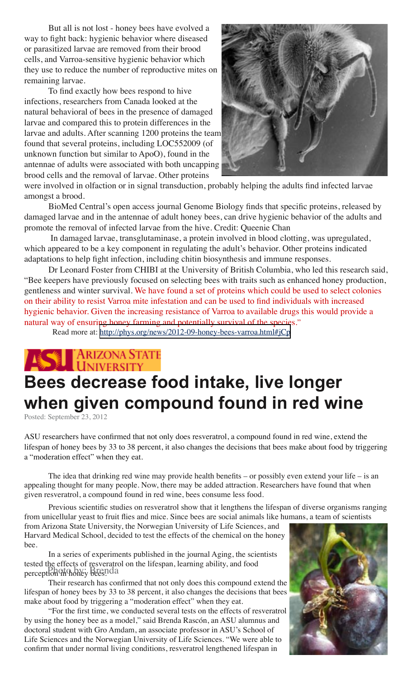But all is not lost - honey bees have evolved a way to fight back: hygienic behavior where diseased or parasitized larvae are removed from their brood cells, and Varroa-sensitive hygienic behavior which they use to reduce the number of reproductive mites on remaining larvae.

To find exactly how bees respond to hive infections, researchers from Canada looked at the natural behavioral of bees in the presence of damaged larvae and compared this to protein differences in the larvae and adults. After scanning 1200 proteins the team found that several proteins, including LOC552009 (of unknown function but similar to ApoO), found in the antennae of adults were associated with both uncapping brood cells and the removal of larvae. Other proteins



were involved in olfaction or in signal transduction, probably helping the adults find infected larvae amongst a brood.

BioMed Central's open access journal Genome Biology finds that specific proteins, released by damaged larvae and in the antennae of adult honey bees, can drive hygienic behavior of the adults and promote the removal of infected larvae from the hive. Credit: Queenie Chan

 In damaged larvae, transglutaminase, a protein involved in blood clotting, was upregulated, which appeared to be a key component in regulating the adult's behavior. Other proteins indicated adaptations to help fight infection, including chitin biosynthesis and immune responses.

Dr Leonard Foster from CHIBI at the University of British Columbia, who led this research said, "Bee keepers have previously focused on selecting bees with traits such as enhanced honey production, gentleness and winter survival. We have found a set of proteins which could be used to select colonies on their ability to resist Varroa mite infestation and can be used to find individuals with increased hygienic behavior. Given the increasing resistance of Varroa to available drugs this would provide a natural way of ensuring honey farming and potentially survival of the species."

Read more at:<http://phys.org/news/2012-09-honey-bees-varroa.html#jCp>

# ARIZONA STATE **Bees decrease food intake, live longer when given compound found in red wine**

Posted: September 23, 2012

ASU researchers have confirmed that not only does resveratrol, a compound found in red wine, extend the lifespan of honey bees by 33 to 38 percent, it also changes the decisions that bees make about food by triggering a "moderation effect" when they eat.

The idea that drinking red wine may provide health benefits – or possibly even extend your life – is an appealing thought for many people. Now, there may be added attraction. Researchers have found that when given resveratrol, a compound found in red wine, bees consume less food.

Previous scientific studies on resveratrol show that it lengthens the lifespan of diverse organisms ranging from unicellular yeast to fruit flies and mice. Since bees are social animals like humans, a team of scientists

from Arizona State University, the Norwegian University of Life Sciences, and Harvard Medical School, decided to test the effects of the chemical on the honey bee.

In a series of experiments published in the journal Aging, the scientists tested the effects of resveratrol on the lifespan, learning ability, and food perception in honey bees. Photo by: Brenda

Their research has confirmed that not only does this compound extend the lifespan of honey bees by 33 to 38 percent, it also changes the decisions that bees make about food by triggering a "moderation effect" when they eat.

"For the first time, we conducted several tests on the effects of resveratrol by using the honey bee as a model," said Brenda Rascón, an ASU alumnus and doctoral student with Gro Amdam, an associate professor in ASU's School of Life Sciences and the Norwegian University of Life Sciences. "We were able to confirm that under normal living conditions, resveratrol lengthened lifespan in

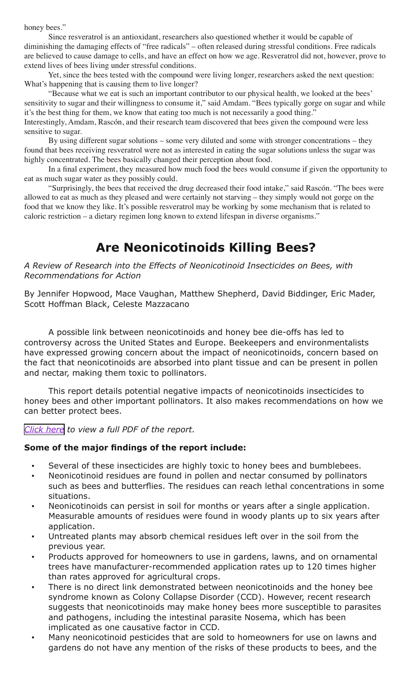honey bees."

Since resveratrol is an antioxidant, researchers also questioned whether it would be capable of diminishing the damaging effects of "free radicals" – often released during stressful conditions. Free radicals are believed to cause damage to cells, and have an effect on how we age. Resveratrol did not, however, prove to extend lives of bees living under stressful conditions.

Yet, since the bees tested with the compound were living longer, researchers asked the next question: What's happening that is causing them to live longer?

"Because what we eat is such an important contributor to our physical health, we looked at the bees' sensitivity to sugar and their willingness to consume it," said Amdam. "Bees typically gorge on sugar and while it's the best thing for them, we know that eating too much is not necessarily a good thing." Interestingly, Amdam, Rascón, and their research team discovered that bees given the compound were less sensitive to sugar.

By using different sugar solutions – some very diluted and some with stronger concentrations – they found that bees receiving resveratrol were not as interested in eating the sugar solutions unless the sugar was highly concentrated. The bees basically changed their perception about food.

In a final experiment, they measured how much food the bees would consume if given the opportunity to eat as much sugar water as they possibly could.

"Surprisingly, the bees that received the drug decreased their food intake," said Rascón. "The bees were allowed to eat as much as they pleased and were certainly not starving – they simply would not gorge on the food that we know they like. It's possible resveratrol may be working by some mechanism that is related to caloric restriction – a dietary regimen long known to extend lifespan in diverse organisms."

### **Are Neonicotinoids Killing Bees?**

#### *A Review of Research into the Effects of Neonicotinoid Insecticides on Bees, with Recommendations for Action*

By Jennifer Hopwood, Mace Vaughan, Matthew Shepherd, David Biddinger, Eric Mader, Scott Hoffman Black, Celeste Mazzacano

A possible link between neonicotinoids and honey bee die-offs has led to controversy across the United States and Europe. Beekeepers and environmentalists have expressed growing concern about the impact of neonicotinoids, concern based on the fact that neonicotinoids are absorbed into plant tissue and can be present in pollen and nectar, making them toxic to pollinators.

This report details potential negative impacts of neonicotinoids insecticides to honey bees and other important pollinators. It also makes recommendations on how we can better protect bees.

*[Click here](http://www.xerces.org/wp-content/uploads/2012/03/Are-Neonicotinoids-Killing-Bees_Xerces-Society1.pdf) to view a full PDF of the report.*

### **Some of the major findings of the report include:**

- Several of these insecticides are highly toxic to honey bees and bumblebees.
- Neonicotinoid residues are found in pollen and nectar consumed by pollinators such as bees and butterflies. The residues can reach lethal concentrations in some situations.
- Neonicotinoids can persist in soil for months or years after a single application. Measurable amounts of residues were found in woody plants up to six years after application.
- Untreated plants may absorb chemical residues left over in the soil from the previous year.
- Products approved for homeowners to use in gardens, lawns, and on ornamental trees have manufacturer-recommended application rates up to 120 times higher than rates approved for agricultural crops.
- There is no direct link demonstrated between neonicotinoids and the honey bee syndrome known as Colony Collapse Disorder (CCD). However, recent research suggests that neonicotinoids may make honey bees more susceptible to parasites and pathogens, including the intestinal parasite Nosema, which has been implicated as one causative factor in CCD.
- Many neonicotinoid pesticides that are sold to homeowners for use on lawns and gardens do not have any mention of the risks of these products to bees, and the